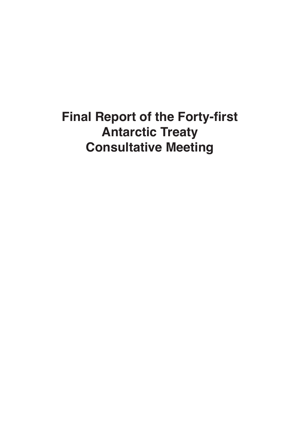## **Final Report of the Forty-first Antarctic Treaty Consultative Meeting**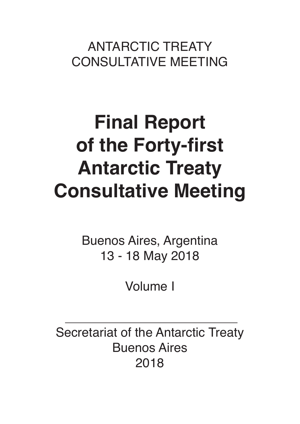ANTARCTIC TREATY CONSULTATIVE MEETING

# **Final Report of the Forty-first Antarctic Treaty Consultative Meeting**

Buenos Aires, Argentina 13 - 18 May 2018

Volume II

Secretariat of the Antarctic Treaty Buenos Aires 2018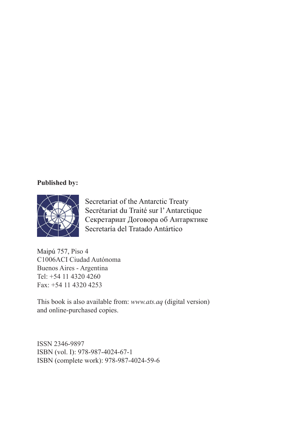#### **Published by:**



Secretariat of the Antarctic Treaty Secrétariat du Traité sur l' Antarctique Секретариат Договора об Антарктике Secretaría del Tratado Antártico

Maipú 757, Piso 4 C1006ACI Ciudad Autónoma Buenos Aires - Argentina Tel: +54 11 4320 4260 Fax: +54 11 4320 4253

This book is also available from: *www.ats.aq* (digital version) and online-purchased copies.

ISSN 2346-9897 ISBN (vol. II): 978-987-4024-73-2 ISBN (complete work): 978-987-4024-59-6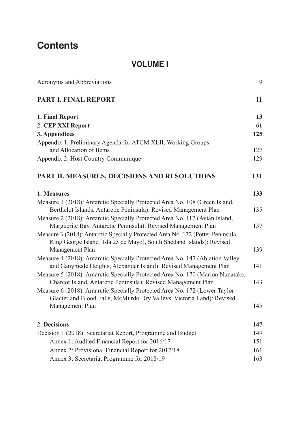## **Contents**

#### **VOLUME I**

Acronyms and Abbreviations

#### **PART I. FINAL REPORT**

#### **1. Final Report**

#### **2. CEP XXI Report**

#### **3. Appendices**

Appendix 1: Preliminary Agenda for ATCM XLII, Working Groups and Allocation of Items Appendix 2: Host Country Communique

#### **PART II. MEASURES, DECISIONS AND RESOLUTIONS**

#### **1. Measures**

- Measure 1 (2018): Antarctic Specially Protected Area No. 108 (Green Island, Berthelot Islands, Antarctic Peninsula): Revised Management Plan
- Measure 2 (2018): Antarctic Specially Protected Area No. 117 (Avian Island, Marguerite Bay, Antarctic Peninsula): Revised Management Plan
- Measure 3 (2018): Antarctic Specially Protected Area No. 132 (Potter Peninsula, King George Island [Isla 25 de Mayo], South Shetland Islands): Revised Management Plan
- Measure 4 (2018): Antarctic Specially Protected Area No. 147 (Ablation Valley and Ganymede Heights, Alexander Island): Revised Management Plan
- Measure 5 (2018): Antarctic Specially Protected Area No. 170 (Marion Nunataks, Charcot Island, Antarctic Peninsula): Revised Management Plan
- Measure 6 (2018): Antarctic Specially Protected Area No. 172 (Lower Taylor Glacier and Blood Falls, McMurdo Dry Valleys, Victoria Land): Revised Management Plan

#### **2. Decisions**

Decision 1 (2018): Secretariat Report, Programme and Budget Annex 1: Audited Financial Report for 2016/17 Annex 2: Provisional Financial Report for 2017/18 Annex 3: Secretariat Programme for 2018/19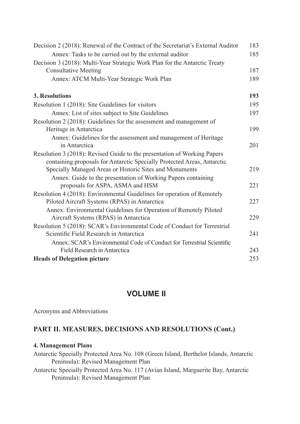| Decision 2 (2018): Renewal of the Contract of the Secretariat's External Auditor<br>Annex: Tasks to be carried out by the external auditor<br>Decision 3 (2018): Multi-Year Strategic Work Plan for the Antarctic Treaty<br><b>Consultative Meeting</b><br>Annex: ATCM Multi-Year Strategic Work Plan |
|-------------------------------------------------------------------------------------------------------------------------------------------------------------------------------------------------------------------------------------------------------------------------------------------------------|
| 3. Resolutions                                                                                                                                                                                                                                                                                        |
|                                                                                                                                                                                                                                                                                                       |
| Resolution 1 (2018): Site Guidelines for visitors                                                                                                                                                                                                                                                     |
| Annex: List of sites subject to Site Guidelines                                                                                                                                                                                                                                                       |
| Resolution 2 (2018): Guidelines for the assessment and management of                                                                                                                                                                                                                                  |
| Heritage in Antarctica                                                                                                                                                                                                                                                                                |
| Annex: Guidelines for the assessment and management of Heritage                                                                                                                                                                                                                                       |
| in Antarctica                                                                                                                                                                                                                                                                                         |
| Resolution 3 (2018): Revised Guide to the presentation of Working Papers                                                                                                                                                                                                                              |
| containing proposals for Antarctic Specially Protected Areas, Antarctic                                                                                                                                                                                                                               |
| Specially Managed Areas or Historic Sites and Monuments                                                                                                                                                                                                                                               |
| Annex: Guide to the presentation of Working Papers containing                                                                                                                                                                                                                                         |
| proposals for ASPA, ASMA and HSM                                                                                                                                                                                                                                                                      |
| Resolution 4 (2018): Environmental Guidelines for operation of Remotely                                                                                                                                                                                                                               |
| Piloted Aircraft Systems (RPAS) in Antarctica                                                                                                                                                                                                                                                         |
| Annex: Environmental Guidelines for Operation of Remotely Piloted                                                                                                                                                                                                                                     |
| Aircraft Systems (RPAS) in Antarctica                                                                                                                                                                                                                                                                 |
| Resolution 5 (2018): SCAR's Environmental Code of Conduct for Terrestrial                                                                                                                                                                                                                             |
| Scientific Field Research in Antarctica                                                                                                                                                                                                                                                               |
| Annex: SCAR's Environmental Code of Conduct for Terrestrial Scientific                                                                                                                                                                                                                                |
| Field Research in Antarctica                                                                                                                                                                                                                                                                          |
| <b>Heads of Delegation picture</b>                                                                                                                                                                                                                                                                    |

### **VOLUME II**

| Acronyms and Abbreviations                                                                                                 | 9  |
|----------------------------------------------------------------------------------------------------------------------------|----|
| PART II. MEASURES, DECISIONS AND RESOLUTIONS (Cont.)                                                                       | 11 |
| <b>4. Management Plans</b>                                                                                                 | 13 |
| Antarctic Specially Protected Area No. 108 (Green Island, Berthelot Islands, Antarctic                                     |    |
| Peninsula): Revised Management Plan                                                                                        | 15 |
| Antarctic Specially Protected Area No. 117 (Avian Island, Marguerite Bay, Antarctic<br>Peninsula): Revised Management Plan |    |
|                                                                                                                            |    |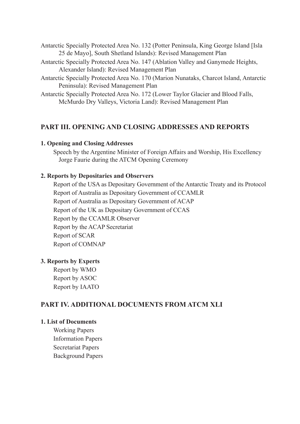Antarctic Specially Protected Area No. 132 (Potter Peninsula, King George Island [Isla 25 de Mayo], South Shetland Islands): Revised Management Plan

- Antarctic Specially Protected Area No. 147 (Ablation Valley and Ganymede Heights, Alexander Island): Revised Management Plan
- Antarctic Specially Protected Area No. 170 (Marion Nunataks, Charcot Island, Antarctic Peninsula): Revised Management Plan

Antarctic Specially Protected Area No. 172 (Lower Taylor Glacier and Blood Falls, McMurdo Dry Valleys, Victoria Land): Revised Management Plan

#### **PART III. OPENING AND CLOSING ADDRESSES AND REPORTS**

#### **1. Opening and Closing Addresses**

Speech by the Argentine Minister of Foreign Affairs and Worship, His Excellency Jorge Faurie during the ATCM Opening Ceremony

#### **2. Reports by Depositaries and Observers**

Report of the USA as Depositary Government of the Antarctic Treaty and its Protocol Report of Australia as Depositary Government of CCAMLR Report of Australia as Depositary Government of ACAP Report of the UK as Depositary Government of CCAS Report by the CCAMLR Observer Report by the ACAP Secretariat Report of SCAR Report of COMNAP

#### **3. Reports by Experts**

Report by WMO Report by ASOC Report by IAATO

#### **PART IV. ADDITIONAL DOCUMENTS FROM ATCM XLI**

#### **1. List of Documents**

Working Papers Information Papers Secretariat Papers Background Papers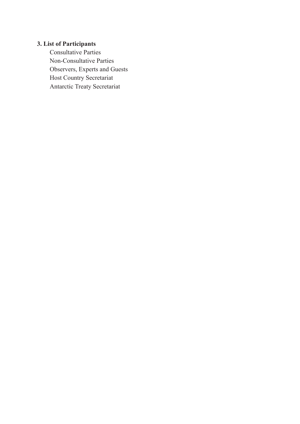#### **3. List of Participants**

Consultative Parties Non-Consultative Parties Observers, Experts and Guests Host Country Secretariat Antarctic Treaty Secretariat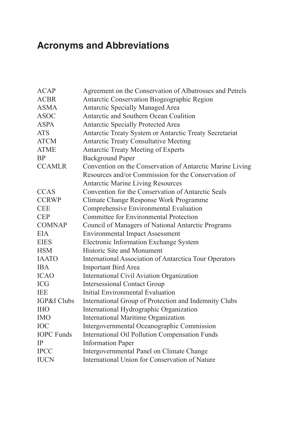## **Acronyms and Abbreviations**

| <b>ACAP</b>       | Agreement on the Conservation of Albatrosses and Petrels      |
|-------------------|---------------------------------------------------------------|
| <b>ACBR</b>       | Antarctic Conservation Biogeographic Region                   |
| <b>ASMA</b>       | <b>Antarctic Specially Managed Area</b>                       |
| <b>ASOC</b>       | Antarctic and Southern Ocean Coalition                        |
| <b>ASPA</b>       | <b>Antarctic Specially Protected Area</b>                     |
| <b>ATS</b>        | Antarctic Treaty System or Antarctic Treaty Secretariat       |
| <b>ATCM</b>       | <b>Antarctic Treaty Consultative Meeting</b>                  |
| <b>ATME</b>       | <b>Antarctic Treaty Meeting of Experts</b>                    |
| <b>BP</b>         | <b>Background Paper</b>                                       |
| <b>CCAMLR</b>     | Convention on the Conservation of Antarctic Marine Living     |
|                   | Resources and/or Commission for the Conservation of           |
|                   | <b>Antarctic Marine Living Resources</b>                      |
| <b>CCAS</b>       | Convention for the Conservation of Antarctic Seals            |
| <b>CCRWP</b>      | Climate Change Response Work Programme                        |
| <b>CEE</b>        | Comprehensive Environmental Evaluation                        |
| <b>CEP</b>        | <b>Committee for Environmental Protection</b>                 |
| <b>COMNAP</b>     | Council of Managers of National Antarctic Programs            |
| <b>EIA</b>        | <b>Environmental Impact Assessment</b>                        |
| <b>EIES</b>       | Electronic Information Exchange System                        |
| <b>HSM</b>        | Historic Site and Monument                                    |
| <b>IAATO</b>      | <b>International Association of Antarctica Tour Operators</b> |
| <b>IBA</b>        | <b>Important Bird Area</b>                                    |
| <b>ICAO</b>       | International Civil Aviation Organization                     |
| <b>ICG</b>        | <b>Intersessional Contact Group</b>                           |
| <b>TEE</b>        | Initial Environmental Evaluation                              |
| IGP&I Clubs       | International Group of Protection and Indemnity Clubs         |
| <b>IHO</b>        | International Hydrographic Organization                       |
| <b>IMO</b>        | <b>International Maritime Organization</b>                    |
| <b>IOC</b>        | Intergovernmental Oceanographic Commission                    |
| <b>IOPC</b> Funds | <b>International Oil Pollution Compensation Funds</b>         |
| IP                | <b>Information Paper</b>                                      |
| <b>IPCC</b>       | Intergovernmental Panel on Climate Change                     |
| <b>IUCN</b>       | International Union for Conservation of Nature                |